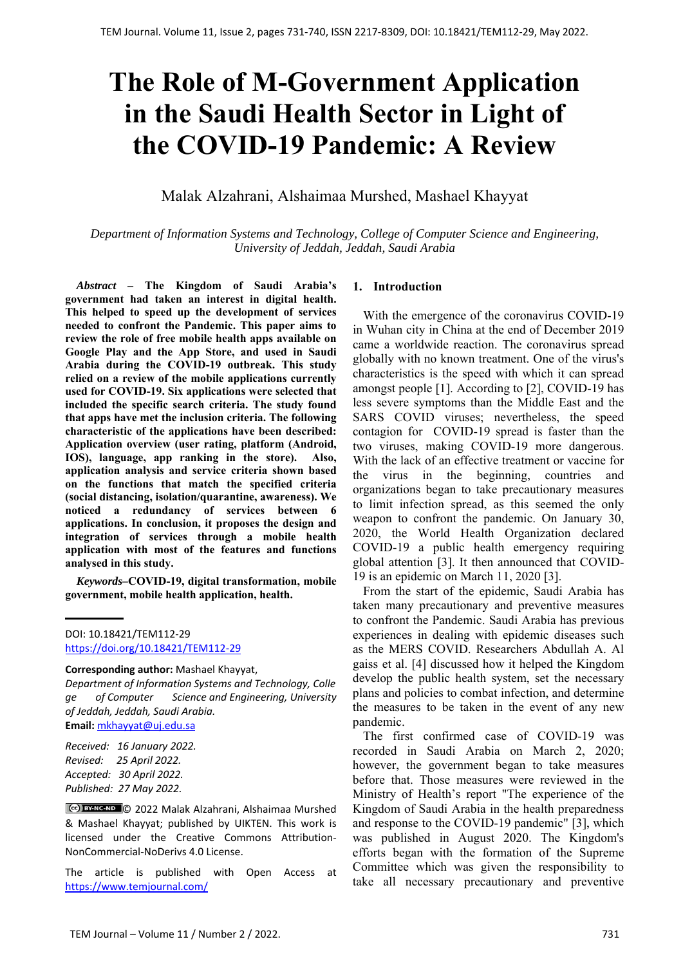# **The Role of M-Government Application in the Saudi Health Sector in Light of the COVID-19 Pandemic: A Review**

# Malak Alzahrani, Alshaimaa Murshed, Mashael Khayyat

*Department of Information Systems and Technology, College of Computer Science and Engineering, University of Jeddah, Jeddah, Saudi Arabia*

*Abstract –* **The Kingdom of Saudi Arabia's government had taken an interest in digital health. This helped to speed up the development of services needed to confront the Pandemic. This paper aims to review the role of free mobile health apps available on Google Play and the App Store, and used in Saudi Arabia during the COVID-19 outbreak. This study relied on a review of the mobile applications currently used for COVID-19. Six applications were selected that included the specific search criteria. The study found that apps have met the inclusion criteria. The following characteristic of the applications have been described: Application overview (user rating, platform (Android, IOS), language, app ranking in the store). Also, application analysis and service criteria shown based on the functions that match the specified criteria (social distancing, isolation/quarantine, awareness). We noticed a redundancy of services between 6 applications. In conclusion, it proposes the design and integration of services through a mobile health application with most of the features and functions analysed in this study.** 

*Keywords–***COVID-19, digital transformation, mobile government, mobile health application, health.** 

#### **Corresponding author:** Mashael Khayyat,

*Department of Information Systems and Technology, Colle ge of Computer Science and Engineering, University of Jeddah, Jeddah, Saudi Arabia.*  **Email:** mkhayyat@uj.edu.sa

*Received: 16 January 2022. Revised: 25 April 2022. Accepted: 30 April 2022. Published: 27 May 2022.* 

© 2022 Malak Alzahrani, Alshaimaa Murshed & Mashael Khayyat; published by UIKTEN. This work is licensed under the Creative Commons Attribution‐ NonCommercial‐NoDerivs 4.0 License.

The article is published with Open Access at https://www.temjournal.com/

#### **1. Introduction**

With the emergence of the coronavirus COVID-19 in Wuhan city in China at the end of December 2019 came a worldwide reaction. The coronavirus spread globally with no known treatment. One of the virus's characteristics is the speed with which it can spread amongst people [1]. According to [2], COVID-19 has less severe symptoms than the Middle East and the SARS COVID viruses; nevertheless, the speed contagion for COVID-19 spread is faster than the two viruses, making COVID-19 more dangerous. With the lack of an effective treatment or vaccine for the virus in the beginning, countries and organizations began to take precautionary measures to limit infection spread, as this seemed the only weapon to confront the pandemic. On January 30, 2020, the World Health Organization declared COVID-19 a public health emergency requiring global attention [3]. It then announced that COVID-19 is an epidemic on March 11, 2020 [3].

From the start of the epidemic, Saudi Arabia has taken many precautionary and preventive measures to confront the Pandemic. Saudi Arabia has previous experiences in dealing with epidemic diseases such as the MERS COVID. Researchers Abdullah A. Al gaiss et al. [4] discussed how it helped the Kingdom develop the public health system, set the necessary plans and policies to combat infection, and determine the measures to be taken in the event of any new pandemic.

The first confirmed case of COVID-19 was recorded in Saudi Arabia on March 2, 2020; however, the government began to take measures before that. Those measures were reviewed in the Ministry of Health's report "The experience of the Kingdom of Saudi Arabia in the health preparedness and response to the COVID-19 pandemic" [3], which was published in August 2020. The Kingdom's efforts began with the formation of the Supreme Committee which was given the responsibility to take all necessary precautionary and preventive

DOI: 10.18421/TEM112-29 [https://doi.org/10.18421/TEM112](https://doi.org/10.18421/TEM112-29)-29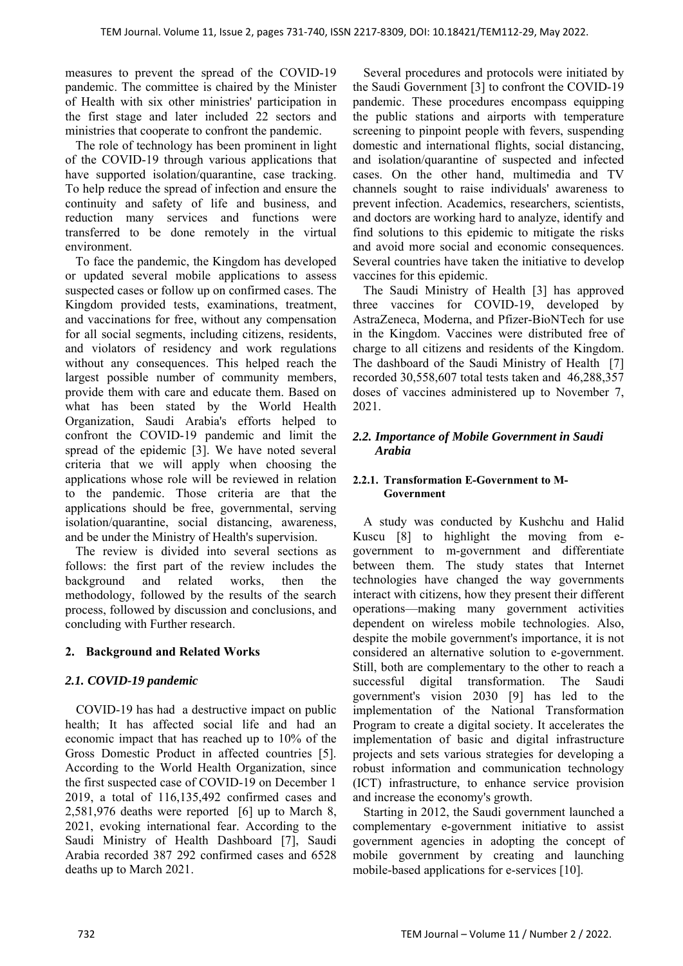measures to prevent the spread of the COVID-19 pandemic. The committee is chaired by the Minister of Health with six other ministries' participation in the first stage and later included 22 sectors and ministries that cooperate to confront the pandemic.

The role of technology has been prominent in light of the COVID-19 through various applications that have supported isolation/quarantine, case tracking. To help reduce the spread of infection and ensure the continuity and safety of life and business, and reduction many services and functions were transferred to be done remotely in the virtual environment.

To face the pandemic, the Kingdom has developed or updated several mobile applications to assess suspected cases or follow up on confirmed cases. The Kingdom provided tests, examinations, treatment, and vaccinations for free, without any compensation for all social segments, including citizens, residents, and violators of residency and work regulations without any consequences. This helped reach the largest possible number of community members, provide them with care and educate them. Based on what has been stated by the World Health Organization, Saudi Arabia's efforts helped to confront the COVID-19 pandemic and limit the spread of the epidemic [3]. We have noted several criteria that we will apply when choosing the applications whose role will be reviewed in relation to the pandemic. Those criteria are that the applications should be free, governmental, serving isolation/quarantine, social distancing, awareness, and be under the Ministry of Health's supervision.

The review is divided into several sections as follows: the first part of the review includes the background and related works, then the methodology, followed by the results of the search process, followed by discussion and conclusions, and concluding with Further research.

# **2. Background and Related Works**

#### *2.1. COVID-19 pandemic*

COVID-19 has had a destructive impact on public health; It has affected social life and had an economic impact that has reached up to 10% of the Gross Domestic Product in affected countries [5]. According to the World Health Organization, since the first suspected case of COVID-19 on December 1 2019, a total of 116,135,492 confirmed cases and 2,581,976 deaths were reported [6] up to March 8, 2021, evoking international fear. According to the Saudi Ministry of Health Dashboard [7], Saudi Arabia recorded 387 292 confirmed cases and 6528 deaths up to March 2021.

Several procedures and protocols were initiated by the Saudi Government [3] to confront the COVID-19 pandemic. These procedures encompass equipping the public stations and airports with temperature screening to pinpoint people with fevers, suspending domestic and international flights, social distancing, and isolation/quarantine of suspected and infected cases. On the other hand, multimedia and TV channels sought to raise individuals' awareness to prevent infection. Academics, researchers, scientists, and doctors are working hard to analyze, identify and find solutions to this epidemic to mitigate the risks and avoid more social and economic consequences. Several countries have taken the initiative to develop vaccines for this epidemic.

The Saudi Ministry of Health [3] has approved three vaccines for COVID-19, developed by AstraZeneca, Moderna, and Pfizer-BioNTech for use in the Kingdom. Vaccines were distributed free of charge to all citizens and residents of the Kingdom. The dashboard of the Saudi Ministry of Health [7] recorded 30,558,607 total tests taken and 46,288,357 doses of vaccines administered up to November 7, 2021.

#### *2.2. Importance of Mobile Government in Saudi Arabia*

#### **2.2.1. Transformation E-Government to M-Government**

A study was conducted by Kushchu and Halid Kuscu [8] to highlight the moving from egovernment to m-government and differentiate between them. The study states that Internet technologies have changed the way governments interact with citizens, how they present their different operations—making many government activities dependent on wireless mobile technologies. Also, despite the mobile government's importance, it is not considered an alternative solution to e-government. Still, both are complementary to the other to reach a successful digital transformation. The Saudi government's vision 2030 [9] has led to the implementation of the National Transformation Program to create a digital society. It accelerates the implementation of basic and digital infrastructure projects and sets various strategies for developing a robust information and communication technology (ICT) infrastructure, to enhance service provision and increase the economy's growth.

Starting in 2012, the Saudi government launched a complementary e-government initiative to assist government agencies in adopting the concept of mobile government by creating and launching mobile-based applications for e-services [10].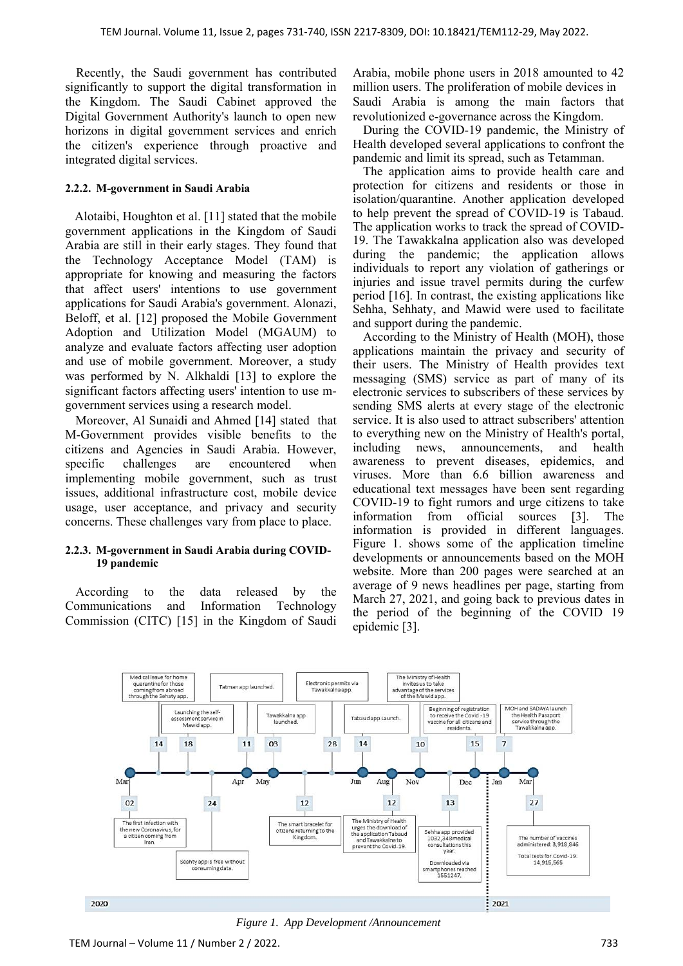Recently, the Saudi government has contributed significantly to support the digital transformation in the Kingdom. The Saudi Cabinet approved the Digital Government Authority's launch to open new horizons in digital government services and enrich the citizen's experience through proactive and integrated digital services.

#### **2.2.2. M-government in Saudi Arabia**

 Alotaibi, Houghton et al. [11] stated that the mobile government applications in the Kingdom of Saudi Arabia are still in their early stages. They found that the Technology Acceptance Model (TAM) is appropriate for knowing and measuring the factors that affect users' intentions to use government applications for Saudi Arabia's government. Alonazi, Beloff, et al. [12] proposed the Mobile Government Adoption and Utilization Model (MGAUM) to analyze and evaluate factors affecting user adoption and use of mobile government. Moreover, a study was performed by N. Alkhaldi [13] to explore the significant factors affecting users' intention to use mgovernment services using a research model.

Moreover, Al Sunaidi and Ahmed [14] stated that M-Government provides visible benefits to the citizens and Agencies in Saudi Arabia. However, specific challenges are encountered when implementing mobile government, such as trust issues, additional infrastructure cost, mobile device usage, user acceptance, and privacy and security concerns. These challenges vary from place to place.

#### **2.2.3. M-government in Saudi Arabia during COVID-19 pandemic**

According to the data released by the Communications and Information Technology Commission (CITC) [15] in the Kingdom of Saudi Arabia, mobile phone users in 2018 amounted to 42 million users. The proliferation of mobile devices in Saudi Arabia is among the main factors that revolutionized e-governance across the Kingdom.

During the COVID-19 pandemic, the Ministry of Health developed several applications to confront the pandemic and limit its spread, such as Tetamman.

The application aims to provide health care and protection for citizens and residents or those in isolation/quarantine. Another application developed to help prevent the spread of COVID-19 is Tabaud. The application works to track the spread of COVID-19. The Tawakkalna application also was developed during the pandemic; the application allows individuals to report any violation of gatherings or injuries and issue travel permits during the curfew period [16]. In contrast, the existing applications like Sehha, Sehhaty, and Mawid were used to facilitate and support during the pandemic.

According to the Ministry of Health (MOH), those applications maintain the privacy and security of their users. The Ministry of Health provides text messaging (SMS) service as part of many of its electronic services to subscribers of these services by sending SMS alerts at every stage of the electronic service. It is also used to attract subscribers' attention to everything new on the Ministry of Health's portal, including news, announcements, and health awareness to prevent diseases, epidemics, and viruses. More than 6.6 billion awareness and educational text messages have been sent regarding COVID-19 to fight rumors and urge citizens to take information from official sources [3]. The information is provided in different languages. Figure 1. shows some of the application timeline developments or announcements based on the MOH website. More than 200 pages were searched at an average of 9 news headlines per page, starting from March 27, 2021, and going back to previous dates in the period of the beginning of the COVID 19 epidemic [3].



*Figure 1. App Development /Announcement*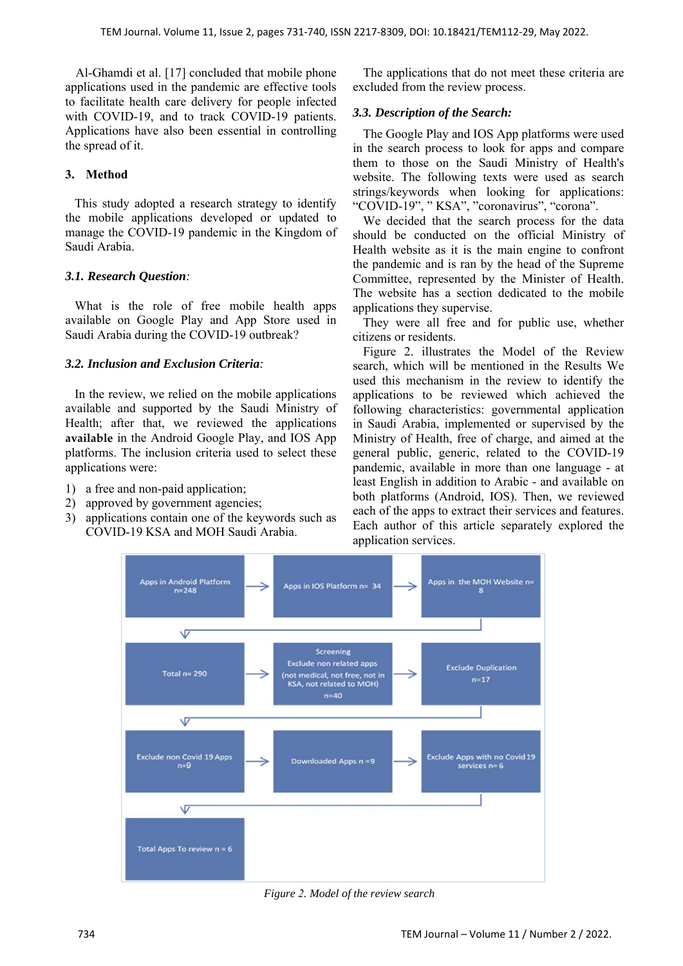Al-Ghamdi et al. [17] concluded that mobile phone applications used in the pandemic are effective tools to facilitate health care delivery for people infected with COVID-19, and to track COVID-19 patients. Applications have also been essential in controlling the spread of it.

## **3. Method**

 This study adopted a research strategy to identify the mobile applications developed or updated to manage the COVID-19 pandemic in the Kingdom of Saudi Arabia.

## *3.1. Research Question:*

 What is the role of free mobile health apps available on Google Play and App Store used in Saudi Arabia during the COVID-19 outbreak?

#### *3.2. Inclusion and Exclusion Criteria:*

 In the review, we relied on the mobile applications available and supported by the Saudi Ministry of Health; after that, we reviewed the applications **available** in the Android Google Play, and IOS App platforms. The inclusion criteria used to select these applications were:

- 1) a free and non-paid application;
- 2) approved by government agencies;
- 3) applications contain one of the keywords such as COVID-19 KSA and MOH Saudi Arabia.

The applications that do not meet these criteria are excluded from the review process.

## *3.3. Description of the Search:*

The Google Play and IOS App platforms were used in the search process to look for apps and compare them to those on the Saudi Ministry of Health's website. The following texts were used as search strings/keywords when looking for applications: "COVID-19", "KSA", "coronavirus", "corona".

We decided that the search process for the data should be conducted on the official Ministry of Health website as it is the main engine to confront the pandemic and is ran by the head of the Supreme Committee, represented by the Minister of Health. The website has a section dedicated to the mobile applications they supervise.

They were all free and for public use, whether citizens or residents.

Figure 2. illustrates the Model of the Review search, which will be mentioned in the Results We used this mechanism in the review to identify the applications to be reviewed which achieved the following characteristics: governmental application in Saudi Arabia, implemented or supervised by the Ministry of Health, free of charge, and aimed at the general public, generic, related to the COVID-19 pandemic, available in more than one language - at least English in addition to Arabic - and available on both platforms (Android, IOS). Then, we reviewed each of the apps to extract their services and features. Each author of this article separately explored the application services.



*Figure 2. Model of the review search*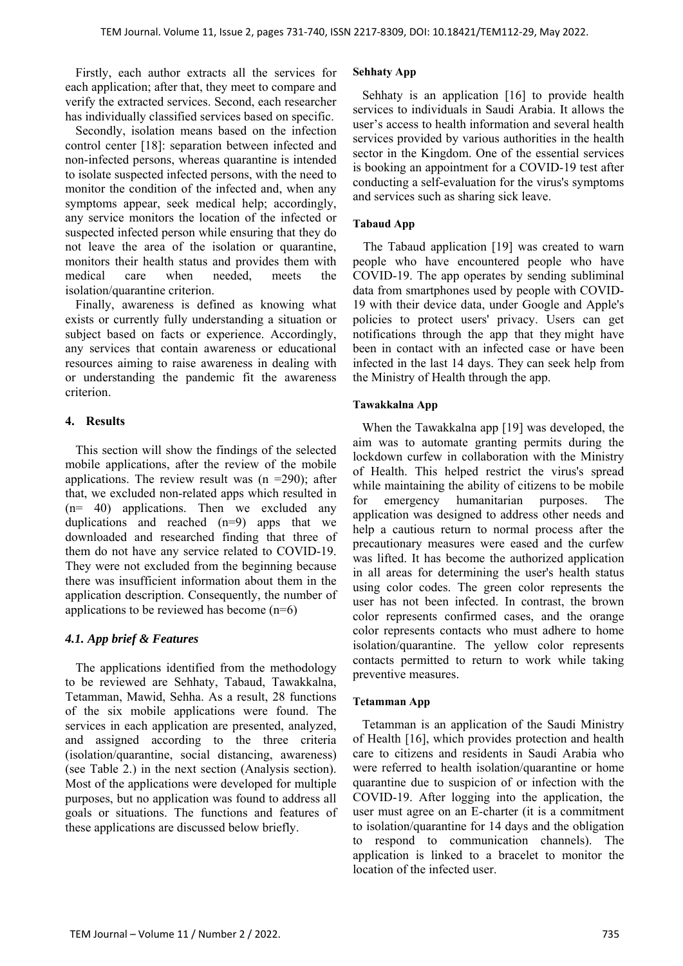Firstly, each author extracts all the services for each application; after that, they meet to compare and verify the extracted services. Second, each researcher has individually classified services based on specific.

Secondly, isolation means based on the infection control center [18]: separation between infected and non-infected persons, whereas quarantine is intended to isolate suspected infected persons, with the need to monitor the condition of the infected and, when any symptoms appear, seek medical help; accordingly, any service monitors the location of the infected or suspected infected person while ensuring that they do not leave the area of the isolation or quarantine, monitors their health status and provides them with medical care when needed, meets the isolation/quarantine criterion.

Finally, awareness is defined as knowing what exists or currently fully understanding a situation or subject based on facts or experience. Accordingly, any services that contain awareness or educational resources aiming to raise awareness in dealing with or understanding the pandemic fit the awareness criterion.

## **4. Results**

This section will show the findings of the selected mobile applications, after the review of the mobile applications. The review result was  $(n = 290)$ ; after that, we excluded non-related apps which resulted in  $(n= 40)$  applications. Then we excluded any duplications and reached (n=9) apps that we downloaded and researched finding that three of them do not have any service related to COVID-19. They were not excluded from the beginning because there was insufficient information about them in the application description. Consequently, the number of applications to be reviewed has become  $(n=6)$ 

#### *4.1. App brief & Features*

The applications identified from the methodology to be reviewed are Sehhaty, Tabaud, Tawakkalna, Tetamman, Mawid, Sehha. As a result, 28 functions of the six mobile applications were found. The services in each application are presented, analyzed, and assigned according to the three criteria (isolation/quarantine, social distancing, awareness) (see Table 2.) in the next section (Analysis section). Most of the applications were developed for multiple purposes, but no application was found to address all goals or situations. The functions and features of these applications are discussed below briefly.

#### **Sehhaty App**

Sehhaty is an application [16] to provide health services to individuals in Saudi Arabia. It allows the user's access to health information and several health services provided by various authorities in the health sector in the Kingdom. One of the essential services is booking an appointment for a COVID-19 test after conducting a self-evaluation for the virus's symptoms and services such as sharing sick leave.

#### **Tabaud App**

 The Tabaud application [19] was created to warn people who have encountered people who have COVID-19. The app operates by sending subliminal data from smartphones used by people with COVID-19 with their device data, under Google and Apple's policies to protect users' privacy. Users can get notifications through the app that they might have been in contact with an infected case or have been infected in the last 14 days. They can seek help from the Ministry of Health through the app.

#### **Tawakkalna App**

 When the Tawakkalna app [19] was developed, the aim was to automate granting permits during the lockdown curfew in collaboration with the Ministry of Health. This helped restrict the virus's spread while maintaining the ability of citizens to be mobile for emergency humanitarian purposes. The application was designed to address other needs and help a cautious return to normal process after the precautionary measures were eased and the curfew was lifted. It has become the authorized application in all areas for determining the user's health status using color codes. The green color represents the user has not been infected. In contrast, the brown color represents confirmed cases, and the orange color represents contacts who must adhere to home isolation/quarantine. The yellow color represents contacts permitted to return to work while taking preventive measures.

#### **Tetamman App**

 Tetamman is an application of the Saudi Ministry of Health [16], which provides protection and health care to citizens and residents in Saudi Arabia who were referred to health isolation/quarantine or home quarantine due to suspicion of or infection with the COVID-19. After logging into the application, the user must agree on an E-charter (it is a commitment to isolation/quarantine for 14 days and the obligation to respond to communication channels). The application is linked to a bracelet to monitor the location of the infected user.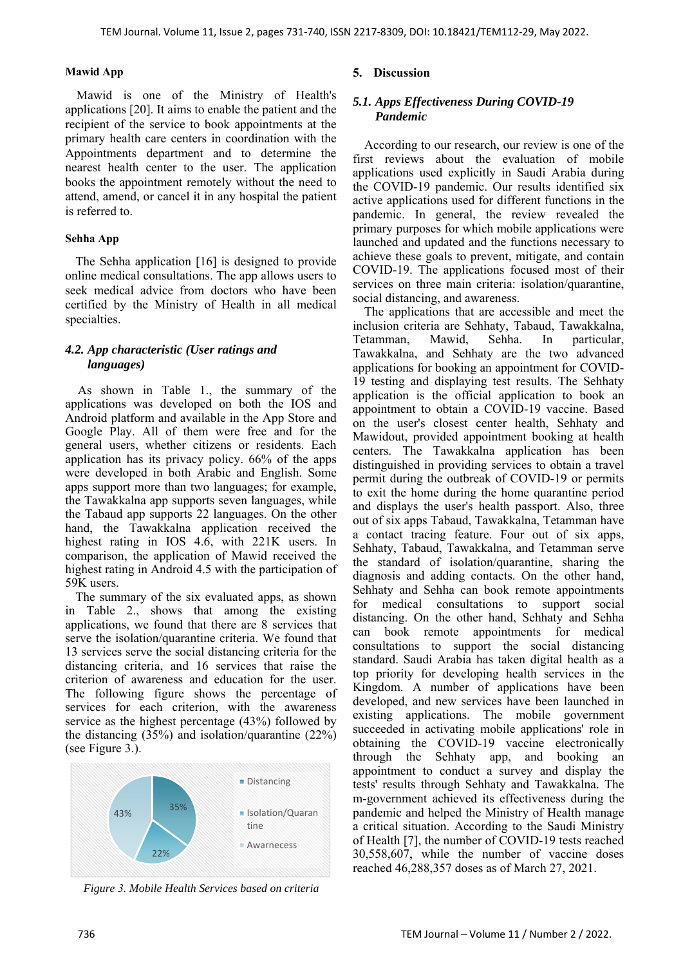#### **Mawid App**

Mawid is one of the Ministry of Health's applications [20]. It aims to enable the patient and the recipient of the service to book appointments at the primary health care centers in coordination with the Appointments department and to determine the nearest health center to the user. The application books the appointment remotely without the need to attend, amend, or cancel it in any hospital the patient is referred to.

#### **Sehha App**

The Sehha application [16] is designed to provide online medical consultations. The app allows users to seek medical advice from doctors who have been certified by the Ministry of Health in all medical specialties.

## *4.2. App characteristic (User ratings and languages)*

 As shown in Table 1., the summary of the applications was developed on both the IOS and Android platform and available in the App Store and Google Play. All of them were free and for the general users, whether citizens or residents. Each application has its privacy policy. 66% of the apps were developed in both Arabic and English. Some apps support more than two languages; for example, the Tawakkalna app supports seven languages, while the Tabaud app supports 22 languages. On the other hand, the Tawakkalna application received the highest rating in IOS 4.6, with 221K users. In comparison, the application of Mawid received the highest rating in Android 4.5 with the participation of 59K users.

The summary of the six evaluated apps, as shown in Table 2., shows that among the existing applications, we found that there are 8 services that serve the isolation/quarantine criteria. We found that 13 services serve the social distancing criteria for the distancing criteria, and 16 services that raise the criterion of awareness and education for the user. The following figure shows the percentage of services for each criterion, with the awareness service as the highest percentage (43%) followed by the distancing (35%) and isolation/quarantine (22%) (see Figure 3.).



*Figure 3. Mobile Health Services based on criteria*

# **5. Discussion**

## *5.1. Apps Effectiveness During COVID-19 Pandemic*

According to our research, our review is one of the first reviews about the evaluation of mobile applications used explicitly in Saudi Arabia during the COVID-19 pandemic. Our results identified six active applications used for different functions in the pandemic. In general, the review revealed the primary purposes for which mobile applications were launched and updated and the functions necessary to achieve these goals to prevent, mitigate, and contain COVID-19. The applications focused most of their services on three main criteria: isolation/quarantine, social distancing, and awareness.

The applications that are accessible and meet the inclusion criteria are Sehhaty, Tabaud, Tawakkalna, Tetamman, Mawid, Sehha. In particular, Tawakkalna, and Sehhaty are the two advanced applications for booking an appointment for COVID-19 testing and displaying test results. The Sehhaty application is the official application to book an appointment to obtain a COVID-19 vaccine. Based on the user's closest center health, Sehhaty and Mawidout, provided appointment booking at health centers. The Tawakkalna application has been distinguished in providing services to obtain a travel permit during the outbreak of COVID-19 or permits to exit the home during the home quarantine period and displays the user's health passport. Also, three out of six apps Tabaud, Tawakkalna, Tetamman have a contact tracing feature. Four out of six apps, Sehhaty, Tabaud, Tawakkalna, and Tetamman serve the standard of isolation/quarantine, sharing the diagnosis and adding contacts. On the other hand, Sehhaty and Sehha can book remote appointments for medical consultations to support social distancing. On the other hand, Sehhaty and Sehha can book remote appointments for medical consultations to support the social distancing standard. Saudi Arabia has taken digital health as a top priority for developing health services in the Kingdom. A number of applications have been developed, and new services have been launched in existing applications. The mobile government succeeded in activating mobile applications' role in obtaining the COVID-19 vaccine electronically through the Sehhaty app, and booking an appointment to conduct a survey and display the tests' results through Sehhaty and Tawakkalna. The m-government achieved its effectiveness during the pandemic and helped the Ministry of Health manage a critical situation. According to the Saudi Ministry of Health [7], the number of COVID-19 tests reached 30,558,607, while the number of vaccine doses reached 46,288,357 doses as of March 27, 2021.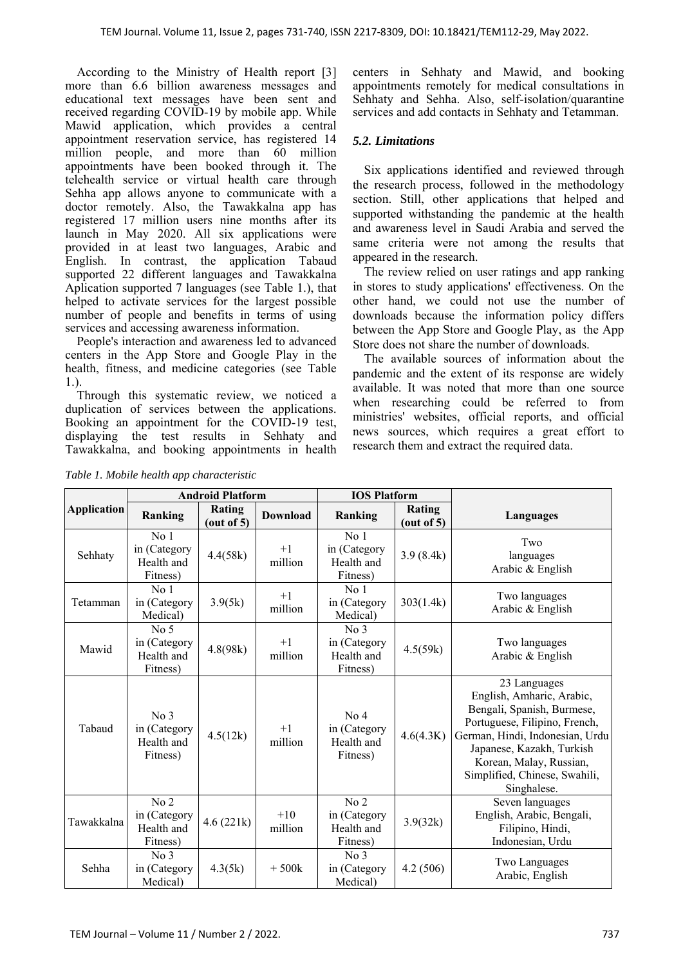According to the Ministry of Health report [3] more than 6.6 billion awareness messages and educational text messages have been sent and received regarding COVID-19 by mobile app. While Mawid application, which provides a central appointment reservation service, has registered 14 million people, and more than 60 million appointments have been booked through it. The telehealth service or virtual health care through Sehha app allows anyone to communicate with a doctor remotely. Also, the Tawakkalna app has registered 17 million users nine months after its launch in May 2020. All six applications were provided in at least two languages, Arabic and English. In contrast, the application Tabaud supported 22 different languages and Tawakkalna Aplication supported 7 languages (see Table 1.), that helped to activate services for the largest possible number of people and benefits in terms of using services and accessing awareness information.

People's interaction and awareness led to advanced centers in the App Store and Google Play in the health, fitness, and medicine categories (see Table 1.).

Through this systematic review, we noticed a duplication of services between the applications. Booking an appointment for the COVID-19 test, displaying the test results in Sehhaty and Tawakkalna, and booking appointments in health

*Table 1. Mobile health app characteristic* 

centers in Sehhaty and Mawid, and booking appointments remotely for medical consultations in Sehhaty and Sehha. Also, self-isolation/quarantine services and add contacts in Sehhaty and Tetamman.

#### *5.2. Limitations*

Six applications identified and reviewed through the research process, followed in the methodology section. Still, other applications that helped and supported withstanding the pandemic at the health and awareness level in Saudi Arabia and served the same criteria were not among the results that appeared in the research.

The review relied on user ratings and app ranking in stores to study applications' effectiveness. On the other hand, we could not use the number of downloads because the information policy differs between the App Store and Google Play, as the App Store does not share the number of downloads.

The available sources of information about the pandemic and the extent of its response are widely available. It was noted that more than one source when researching could be referred to from ministries' websites, official reports, and official news sources, which requires a great effort to research them and extract the required data.

|                    | <b>Android Platform</b>                                   |                      |                  | <b>IOS Platform</b>                                       |                      |                                                                                                                                                                                                                                                     |  |
|--------------------|-----------------------------------------------------------|----------------------|------------------|-----------------------------------------------------------|----------------------|-----------------------------------------------------------------------------------------------------------------------------------------------------------------------------------------------------------------------------------------------------|--|
| <b>Application</b> | Ranking                                                   | Rating<br>(out of 5) | <b>Download</b>  | Ranking                                                   | Rating<br>(out of 5) | <b>Languages</b>                                                                                                                                                                                                                                    |  |
| Sehhaty            | No <sub>1</sub><br>in (Category<br>Health and<br>Fitness) | 4.4(58k)             | $+1$<br>million  | No <sub>1</sub><br>in (Category<br>Health and<br>Fitness) | 3.9(8.4k)            | Two<br>languages<br>Arabic & English                                                                                                                                                                                                                |  |
| Tetamman           | No <sub>1</sub><br>in (Category<br>Medical)               | 3.9(5k)              | $+1$<br>million  | No <sub>1</sub><br>in (Category<br>Medical)               | 303(1.4k)            | Two languages<br>Arabic & English                                                                                                                                                                                                                   |  |
| Mawid              | No <sub>5</sub><br>in (Category<br>Health and<br>Fitness) | 4.8(98k)             | $+1$<br>million  | No <sub>3</sub><br>in (Category<br>Health and<br>Fitness) | 4.5(59k)             | Two languages<br>Arabic & English                                                                                                                                                                                                                   |  |
| Tabaud             | No 3<br>in (Category<br>Health and<br>Fitness)            | 4.5(12k)             | $+1$<br>million  | No 4<br>in (Category<br>Health and<br>Fitness)            | 4.6(4.3K)            | 23 Languages<br>English, Amharic, Arabic,<br>Bengali, Spanish, Burmese,<br>Portuguese, Filipino, French,<br>German, Hindi, Indonesian, Urdu<br>Japanese, Kazakh, Turkish<br>Korean, Malay, Russian,<br>Simplified, Chinese, Swahili,<br>Singhalese. |  |
| Tawakkalna         | No <sub>2</sub><br>in (Category<br>Health and<br>Fitness) | 4.6(221k)            | $+10$<br>million | No 2<br>in (Category<br>Health and<br>Fitness)            | 3.9(32k)             | Seven languages<br>English, Arabic, Bengali,<br>Filipino, Hindi,<br>Indonesian, Urdu                                                                                                                                                                |  |
| Sehha              | No <sub>3</sub><br>in (Category<br>Medical)               | 4.3(5k)              | $+500k$          | No <sub>3</sub><br>in (Category<br>Medical)               | 4.2 (506)            | Two Languages<br>Arabic, English                                                                                                                                                                                                                    |  |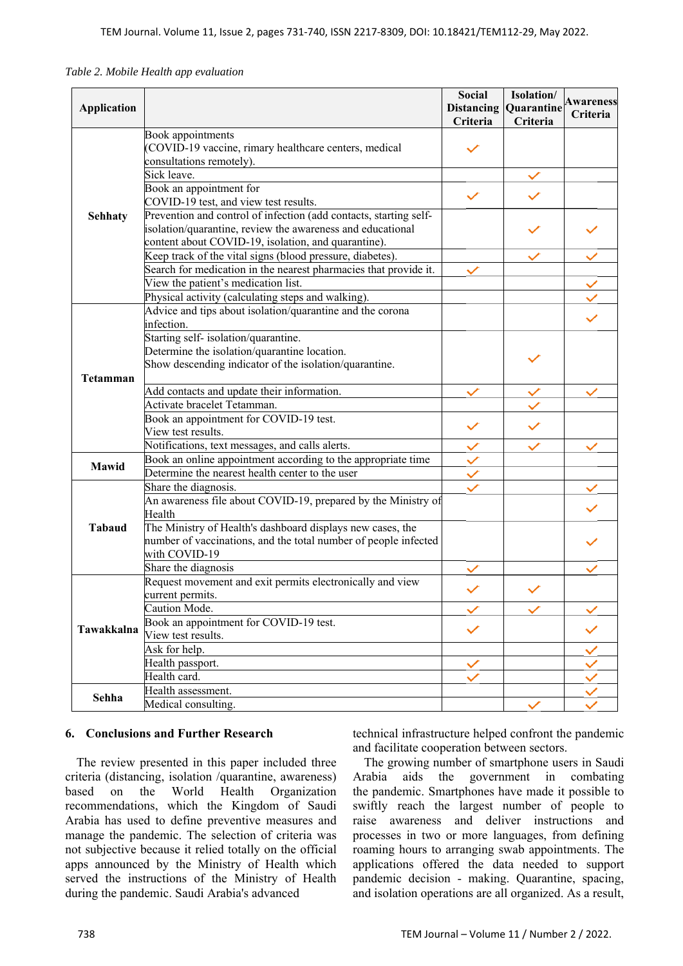| Table 2. Mobile Health app evaluation |  |
|---------------------------------------|--|
|---------------------------------------|--|

|                    |                                                                                                                               | <b>Social</b>     | Isolation/ | <b>Awareness</b> |
|--------------------|-------------------------------------------------------------------------------------------------------------------------------|-------------------|------------|------------------|
| <b>Application</b> |                                                                                                                               | <b>Distancing</b> | Quarantine | <b>Criteria</b>  |
|                    |                                                                                                                               | Criteria          | Criteria   |                  |
|                    | Book appointments<br>COVID-19 vaccine, rimary healthcare centers, medical                                                     |                   |            |                  |
|                    | consultations remotely).                                                                                                      |                   |            |                  |
|                    | Sick leave.                                                                                                                   |                   |            |                  |
|                    | Book an appointment for                                                                                                       |                   |            |                  |
| <b>Sehhaty</b>     | COVID-19 test, and view test results.                                                                                         |                   |            |                  |
|                    | Prevention and control of infection (add contacts, starting self-                                                             |                   |            |                  |
|                    | isolation/quarantine, review the awareness and educational                                                                    |                   |            |                  |
|                    | content about COVID-19, isolation, and quarantine).                                                                           |                   |            |                  |
|                    | Keep track of the vital signs (blood pressure, diabetes).                                                                     |                   |            |                  |
|                    | Search for medication in the nearest pharmacies that provide it.                                                              |                   |            |                  |
|                    | View the patient's medication list.                                                                                           |                   |            |                  |
|                    | Physical activity (calculating steps and walking).                                                                            |                   |            |                  |
|                    | Advice and tips about isolation/quarantine and the corona                                                                     |                   |            |                  |
|                    | infection.                                                                                                                    |                   |            |                  |
|                    | Starting self-isolation/quarantine.                                                                                           |                   |            |                  |
|                    | Determine the isolation/quarantine location.                                                                                  |                   |            |                  |
|                    | Show descending indicator of the isolation/quarantine.                                                                        |                   |            |                  |
| <b>Tetamman</b>    |                                                                                                                               |                   |            |                  |
|                    | Add contacts and update their information.                                                                                    |                   |            |                  |
|                    | Activate bracelet Tetamman.                                                                                                   |                   |            |                  |
|                    | Book an appointment for COVID-19 test.                                                                                        |                   |            |                  |
|                    | View test results.                                                                                                            |                   |            |                  |
|                    | Notifications, text messages, and calls alerts.                                                                               | $\checkmark$      |            |                  |
| Mawid              | Book an online appointment according to the appropriate time                                                                  | $\checkmark$      |            |                  |
|                    | Determine the nearest health center to the user                                                                               | $\checkmark$      |            |                  |
|                    | Share the diagnosis.                                                                                                          |                   |            |                  |
|                    | An awareness file about COVID-19, prepared by the Ministry of                                                                 |                   |            |                  |
|                    | Health                                                                                                                        |                   |            |                  |
| <b>Tabaud</b>      | The Ministry of Health's dashboard displays new cases, the<br>number of vaccinations, and the total number of people infected |                   |            |                  |
|                    | with COVID-19                                                                                                                 |                   |            |                  |
|                    | Share the diagnosis                                                                                                           |                   |            |                  |
|                    | Request movement and exit permits electronically and view                                                                     |                   |            |                  |
|                    | current permits.                                                                                                              |                   |            |                  |
|                    | Caution Mode.                                                                                                                 |                   |            |                  |
|                    | Book an appointment for COVID-19 test.                                                                                        |                   |            |                  |
| Tawakkalna         | View test results.                                                                                                            |                   |            |                  |
|                    | Ask for help.                                                                                                                 |                   |            |                  |
|                    | Health passport.                                                                                                              |                   |            |                  |
|                    | Health card.                                                                                                                  |                   |            |                  |
| Sehha              | Health assessment.                                                                                                            |                   |            |                  |
|                    | Medical consulting.                                                                                                           |                   |            |                  |

#### **6. Conclusions and Further Research**

The review presented in this paper included three criteria (distancing, isolation /quarantine, awareness) based on the World Health Organization recommendations, which the Kingdom of Saudi Arabia has used to define preventive measures and manage the pandemic. The selection of criteria was not subjective because it relied totally on the official apps announced by the Ministry of Health which served the instructions of the Ministry of Health during the pandemic. Saudi Arabia's advanced

technical infrastructure helped confront the pandemic and facilitate cooperation between sectors.

The growing number of smartphone users in Saudi Arabia aids the government in combating the pandemic. Smartphones have made it possible to swiftly reach the largest number of people to raise awareness and deliver instructions and processes in two or more languages, from defining roaming hours to arranging swab appointments. The applications offered the data needed to support pandemic decision - making. Quarantine, spacing, and isolation operations are all organized. As a result,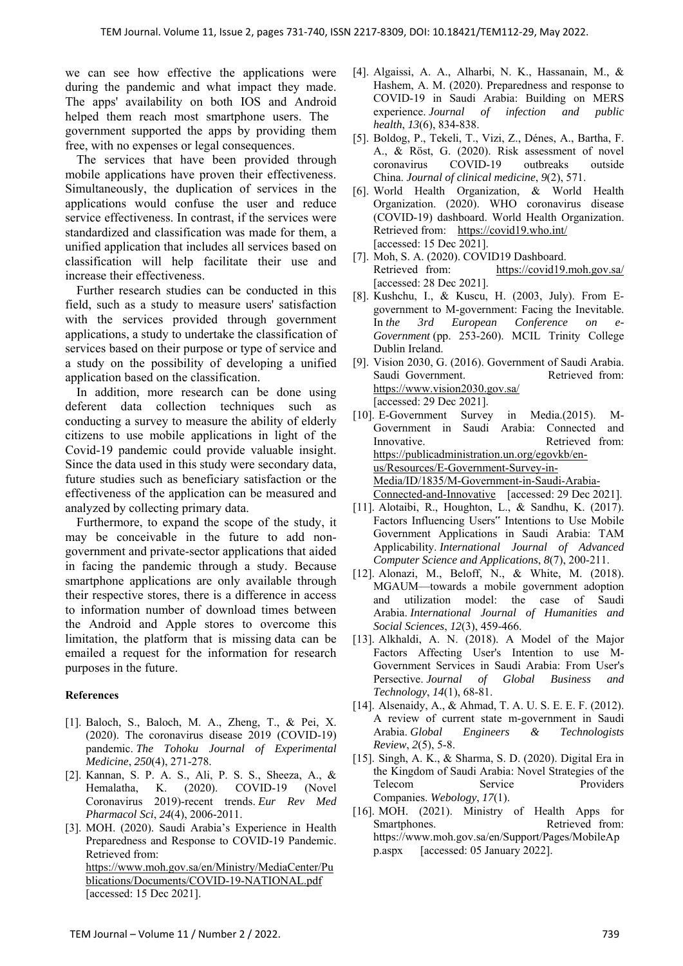we can see how effective the applications were during the pandemic and what impact they made. The apps' availability on both IOS and Android helped them reach most smartphone users. The government supported the apps by providing them free, with no expenses or legal consequences .

The services that have been provided through mobile applications have proven their effectiveness. Simultaneously, the duplication of services in the applications would confuse the user and reduce service effectiveness. In contrast, if the services were standardized and classification was made for them, a unified application that includes all services based on classification will help facilitate their use and increase their effectiveness.

Further research studies can be conducted in this field, such as a study to measure users' satisfaction with the services provided through government applications, a study to undertake the classification of services based on their purpose or type of service and a study on the possibility of developing a unified application based on the classification.

In addition, more research can be done using deferent data collection techniques such as conducting a survey to measure the ability of elderly citizens to use mobile applications in light of the Covid-19 pandemic could provide valuable insight. Since the data used in this study were secondary data, future studies such as beneficiary satisfaction or the effectiveness of the application can be measured and analyzed by collecting primary data.

Furthermore, to expand the scope of the study, it may be conceivable in the future to add nongovernment and private-sector applications that aided in facing the pandemic through a study. Because smartphone applications are only available through their respective stores, there is a difference in access to information number of download times between the Android and Apple stores to overcome this limitation, the platform that is missing data can be emailed a request for the information for research purposes in the future.

#### **References**

- [1]. Baloch, S., Baloch, M. A., Zheng, T., & Pei, X. (2020). The coronavirus disease 2019 (COVID-19) pandemic. *The Tohoku Journal of Experimental Medicine*, *250*(4), 271-278.
- [2]. Kannan, S. P. A. S., Ali, P. S. S., Sheeza, A., & Hemalatha, K. (2020). COVID-19 (Novel Coronavirus 2019)-recent trends. *Eur Rev Med Pharmacol Sci*, *24*(4), 2006-2011.
- [3]. MOH. (2020). Saudi Arabia's Experience in Health Preparedness and Response to COVID-19 Pandemic. Retrieved from: https://www.moh.gov.sa/en/Ministry/MediaCenter/Pu blications/Documents/COVID-19-NATIONAL.pdf [accessed: 15 Dec 2021].
- [4]. Algaissi, A. A., Alharbi, N. K., Hassanain, M., & Hashem, A. M. (2020). Preparedness and response to COVID-19 in Saudi Arabia: Building on MERS experience. *Journal of infection and public health*, *13*(6), 834-838.
- [5]. Boldog, P., Tekeli, T., Vizi, Z., Dénes, A., Bartha, F. A., & Röst, G. (2020). Risk assessment of novel coronavirus COVID-19 outbreaks outside China. *Journal of clinical medicine*, *9*(2), 571.
- [6]. World Health Organization, & World Health Organization. (2020). WHO coronavirus disease (COVID-19) dashboard. World Health Organization. Retrieved from: https://covid19.who.int/ [accessed: 15 Dec 2021].
- [7]. Moh, S. A. (2020). COVID19 Dashboard. Retrieved from: https://covid19.moh.gov.sa/ [accessed: 28 Dec 2021].
- [8]. Kushchu, I., & Kuscu, H. (2003, July). From Egovernment to M-government: Facing the Inevitable. In *the 3rd European Conference on e-Government* (pp. 253-260). MCIL Trinity College Dublin Ireland.
- [9]. Vision 2030, G. (2016). Government of Saudi Arabia. Saudi Government. Retrieved from: https://www.vision2030.gov.sa/ [accessed: 29 Dec 2021].
- [10]. E-Government Survey in Media.(2015). M-Government in Saudi Arabia: Connected and Innovative. Retrieved from: https://publicadministration.un.org/egovkb/enus/Resources/E-Government-Survey-in-Media/ID/1835/M-Government-in-Saudi-Arabia-Connected-and-Innovative [accessed: 29 Dec 2021].
- [11]. Alotaibi, R., Houghton, L., & Sandhu, K. (2017). Factors Influencing Users" Intentions to Use Mobile Government Applications in Saudi Arabia: TAM Applicability. *International Journal of Advanced Computer Science and Applications*, *8*(7), 200-211.
- [12]. Alonazi, M., Beloff, N., & White, M. (2018). MGAUM—towards a mobile government adoption and utilization model: the case of Saudi Arabia. *International Journal of Humanities and Social Sciences*, *12*(3), 459-466.
- [13]. Alkhaldi, A. N. (2018). A Model of the Major Factors Affecting User's Intention to use M-Government Services in Saudi Arabia: From User's Persective. *Journal of Global Business and Technology*, *14*(1), 68-81.
- [14]. Alsenaidy, A., & Ahmad, T. A. U. S. E. E. F. (2012). A review of current state m-government in Saudi Arabia. *Global Engineers & Technologists Review*, *2*(5), 5-8.
- [15]. Singh, A. K., & Sharma, S. D. (2020). Digital Era in the Kingdom of Saudi Arabia: Novel Strategies of the Telecom Service Providers Companies. *Webology*, *17*(1).
- [16]. MOH. (2021). Ministry of Health Apps for Smartphones. Retrieved from: https://www.moh.gov.sa/en/Support/Pages/MobileAp p.aspx [accessed: 05 January 2022].